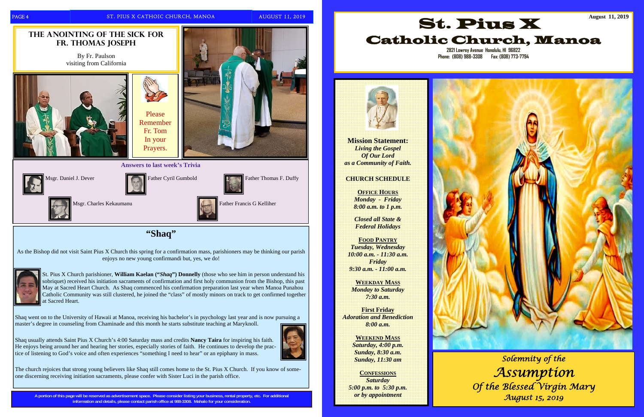**A portion of this page will be reserved as advertisement space. Please consider listing your business, rental property, etc. For additional information and details, please contact parish office at 988-3308. Mahalo for your consideration.** 

St. Pius X Church parishioner, **William Kaelan ("***Shaq***") Donnelly** (those who see him in person understand his sobriquet) received his initiation sacraments of confirmation and first holy communion from the Bishop, this past May at Sacred Heart Church. As Shaq commenced his confirmation preparation last year when Manoa Punahou Catholic Community was still clustered, he joined the "class" of mostly minors on track to get confirmed together at Sacred Heart.

Shaq went on to the University of Hawaii at Manoa, receiving his bachelor's in psychology last year and is now pursuing a master's degree in counseling from Chaminade and this month he starts substitute teaching at Maryknoll.





Shaq usually attends Saint Pius X Church's 4:00 Saturday mass and credits **Nancy Taira** for inspiring his faith. He enjoys being around her and hearing her stories, especially stories of faith. He continues to develop the prac-

tice of listening to God's voice and often experiences "something I need to hear" or an epiphany in mass.

The church rejoices that strong young believers like Shaq still comes home to the St. Pius X Church. If you know of someone discerning receiving initiation sacraments, please confer with Sister Luci in the parish office.

**Mission Statement:**  *Living the Gospel Of Our Lord as a Community of Faith.* 

#### **CHURCH SCHEDULE**

**OFFICE HOURS** *Monday - Friday 8:00 a.m. to 1 p.m.* 

*Closed all State & Federal Holidays* 

#### **FOOD PANTRY**

*Tuesday, Wednesday 10:00 a.m. - 11:30 a.m. Friday 9:30 a.m. - 11:00 a.m.*

**WEEKDAY MASS***Monday to Saturday 7:30 a.m.* 

**First Friday**  *Adoration and Benediction 8:00 a.m.* 

> **WEEKEND MASS***Saturday, 4:00 p.m. Sunday, 8:30 a.m. Sunday, 11:30 am*

**CONFESSIONS***Saturday 5:00 p.m. to 5:30 p.m. or by appointment* 





**Phone: (808) 988-3308 Fax: (808) 773-7794** 



*Solemnity of the Assumption Of the Blessed Virgin Mary August 15, 2019*